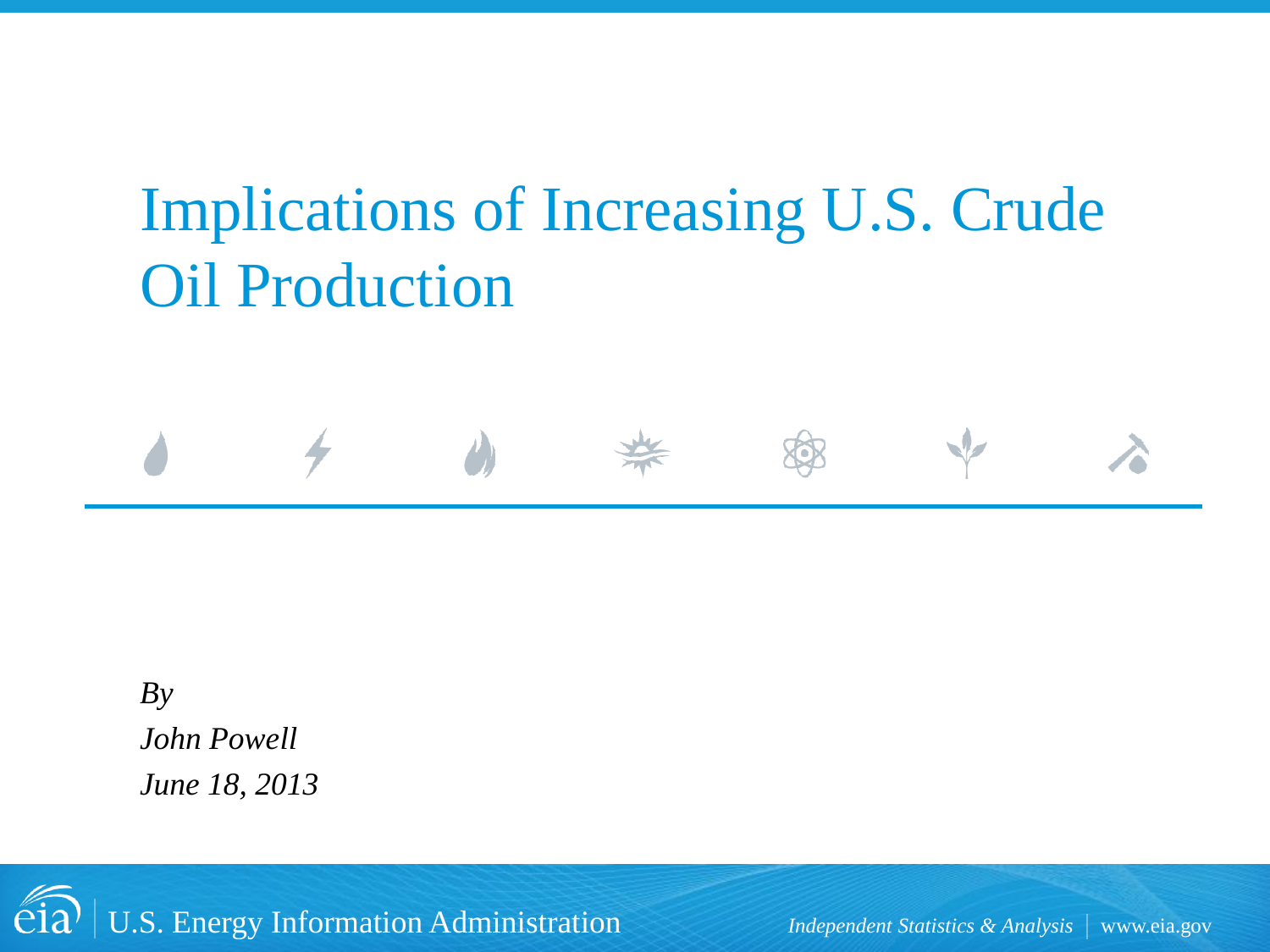# Implications of Increasing U.S. Crude Oil Production

*By John Powell June 18, 2013*

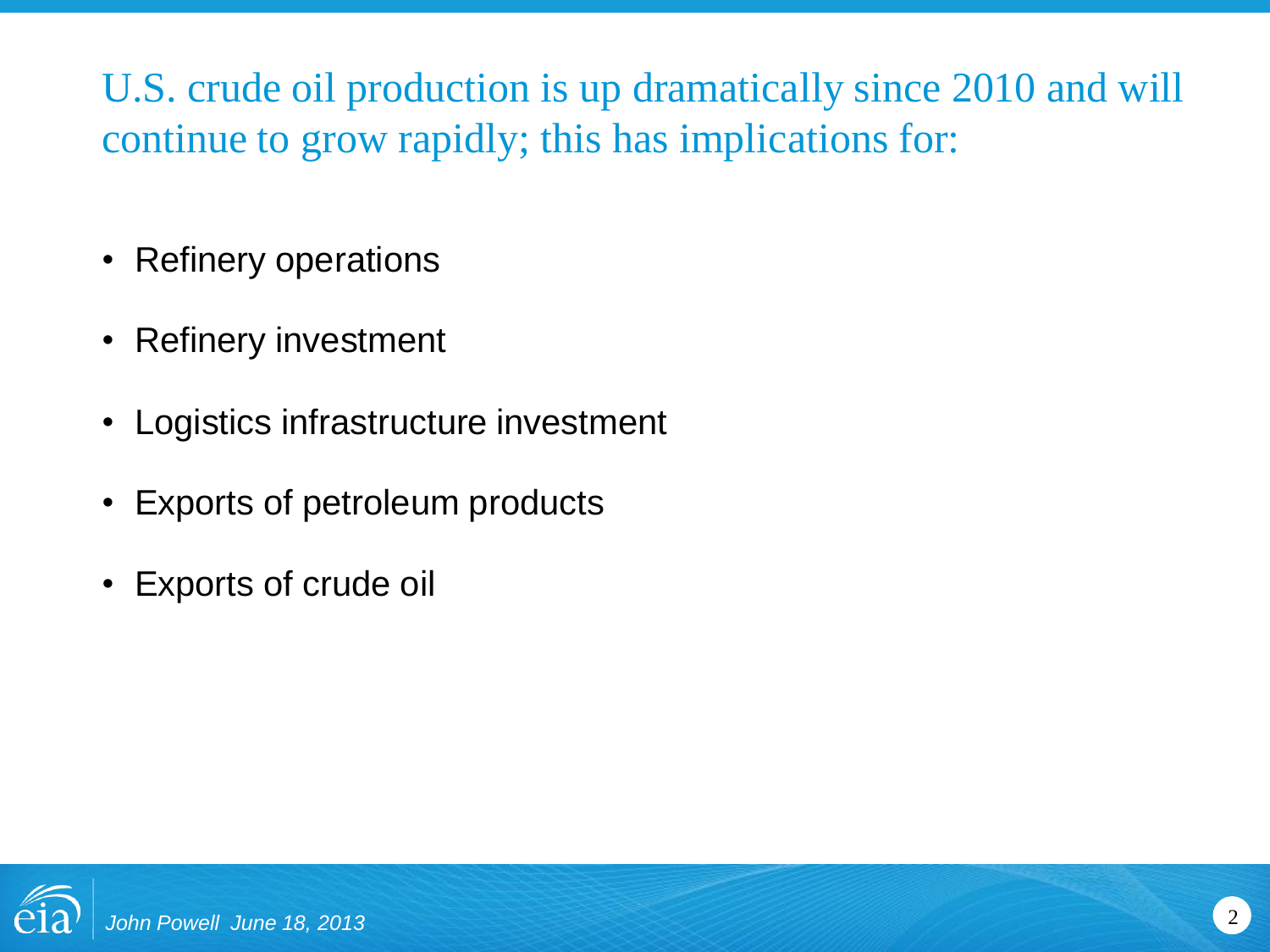U.S. crude oil production is up dramatically since 2010 and will continue to grow rapidly; this has implications for:

- Refinery operations
- Refinery investment
- Logistics infrastructure investment
- Exports of petroleum products
- Exports of crude oil

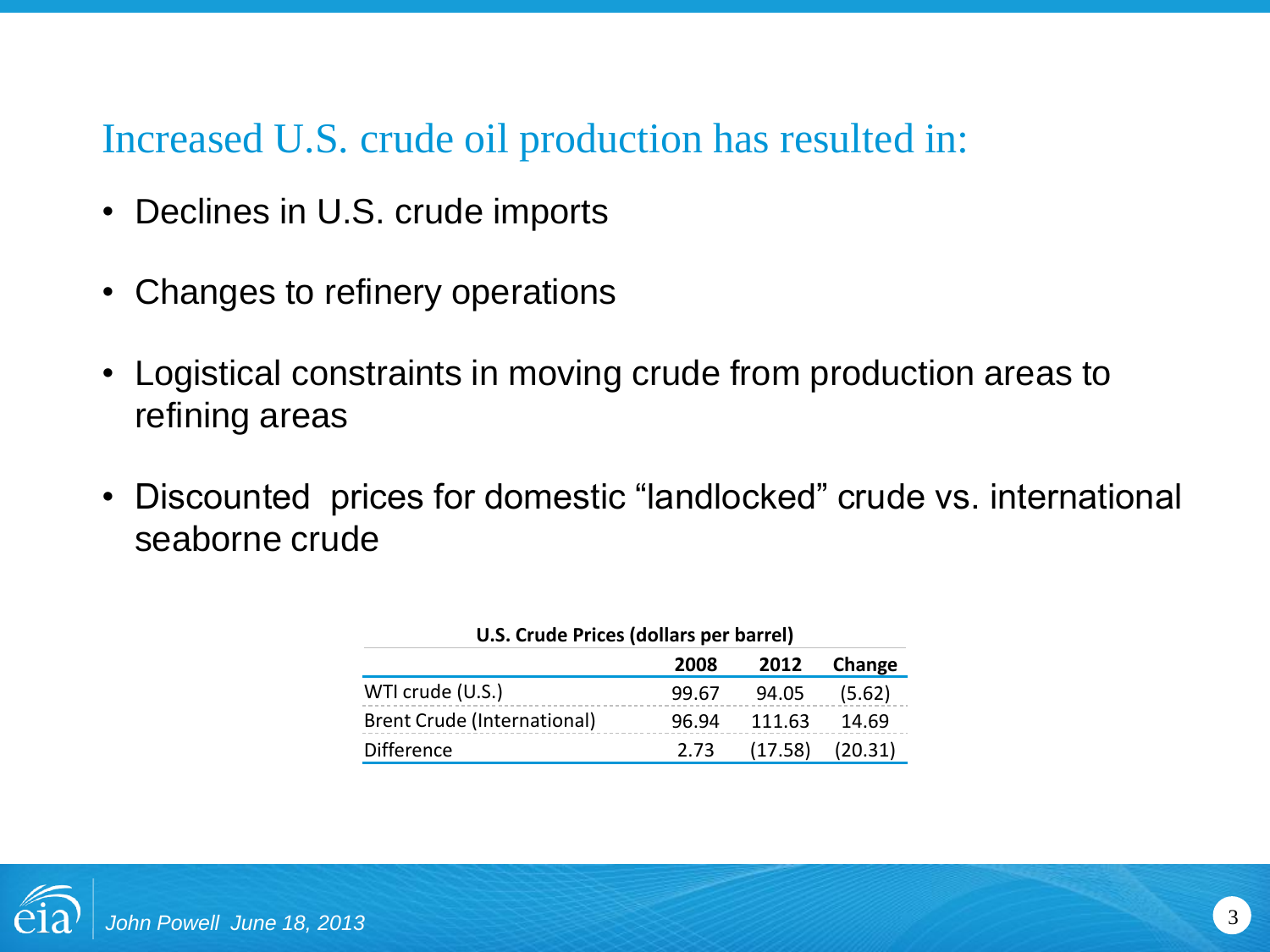#### Increased U.S. crude oil production has resulted in:

- Declines in U.S. crude imports
- Changes to refinery operations
- Logistical constraints in moving crude from production areas to refining areas
- Discounted prices for domestic "landlocked" crude vs. international seaborne crude

| U.S. Crude Prices (dollars per barrel) |         |         |  |  |  |
|----------------------------------------|---------|---------|--|--|--|
| 2008                                   | 2012    | Change  |  |  |  |
| 99.67                                  | 94.05   | (5.62)  |  |  |  |
| 96.94                                  | 111.63  | 14.69   |  |  |  |
| 2.73                                   | (17.58) | (20.31) |  |  |  |
|                                        |         |         |  |  |  |

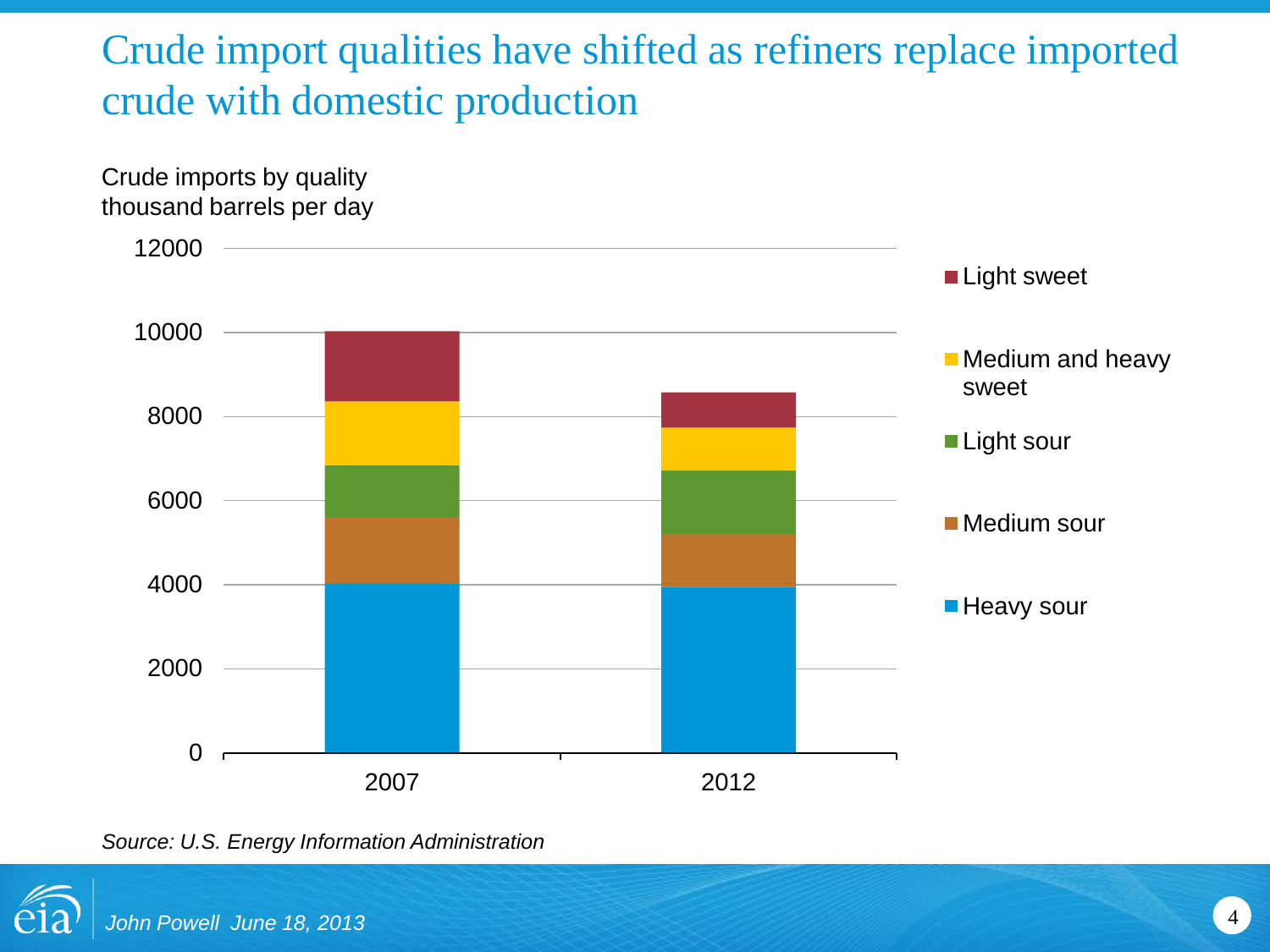# Crude import qualities have shifted as refiners replace imported crude with domestic production



*Source: U.S. Energy Information Administration*

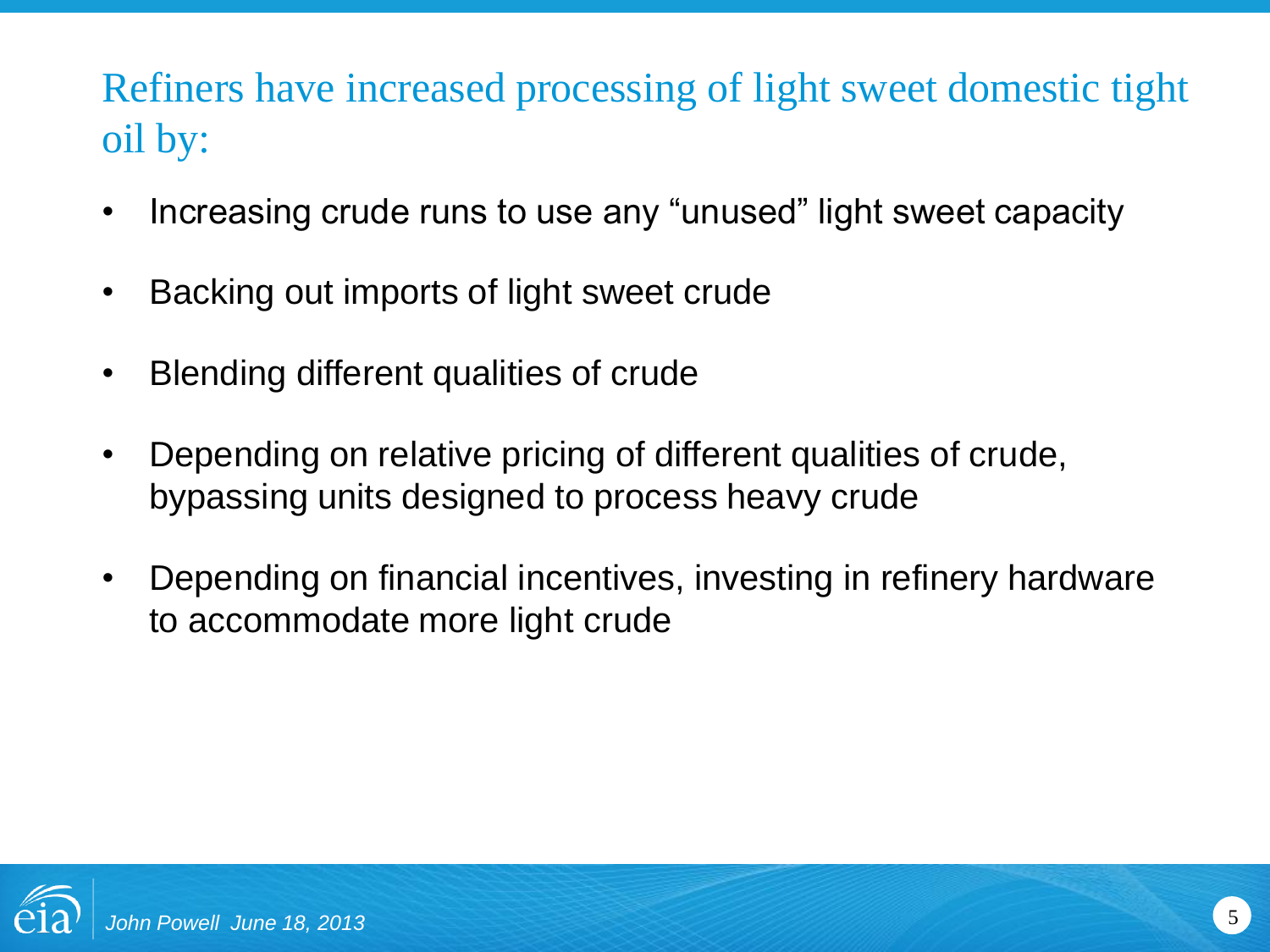# Refiners have increased processing of light sweet domestic tight oil by:

- Increasing crude runs to use any "unused" light sweet capacity
- Backing out imports of light sweet crude
- Blending different qualities of crude
- Depending on relative pricing of different qualities of crude, bypassing units designed to process heavy crude
- Depending on financial incentives, investing in refinery hardware to accommodate more light crude

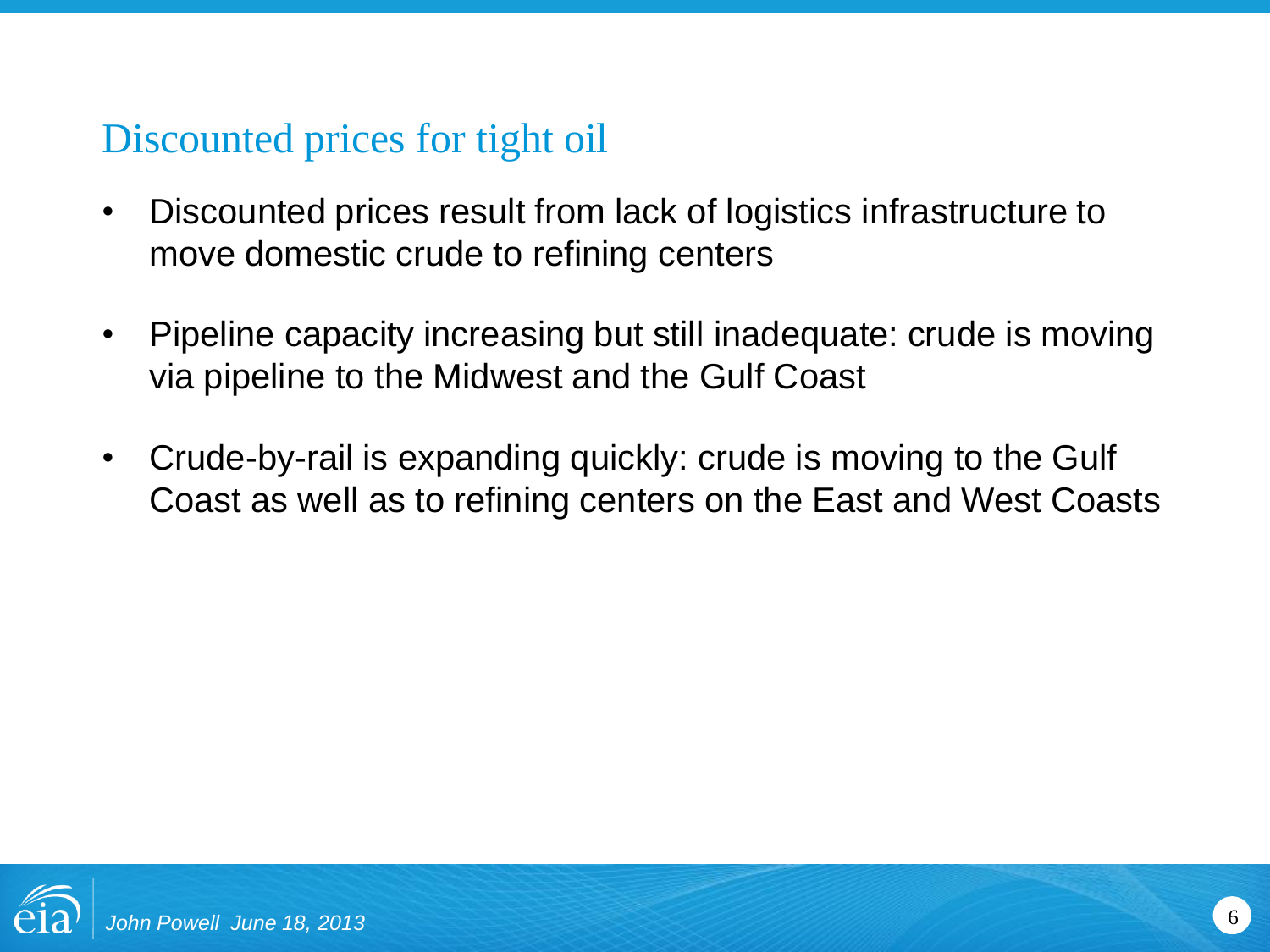# Discounted prices for tight oil

- Discounted prices result from lack of logistics infrastructure to move domestic crude to refining centers
- Pipeline capacity increasing but still inadequate: crude is moving via pipeline to the Midwest and the Gulf Coast
- Crude-by-rail is expanding quickly: crude is moving to the Gulf Coast as well as to refining centers on the East and West Coasts

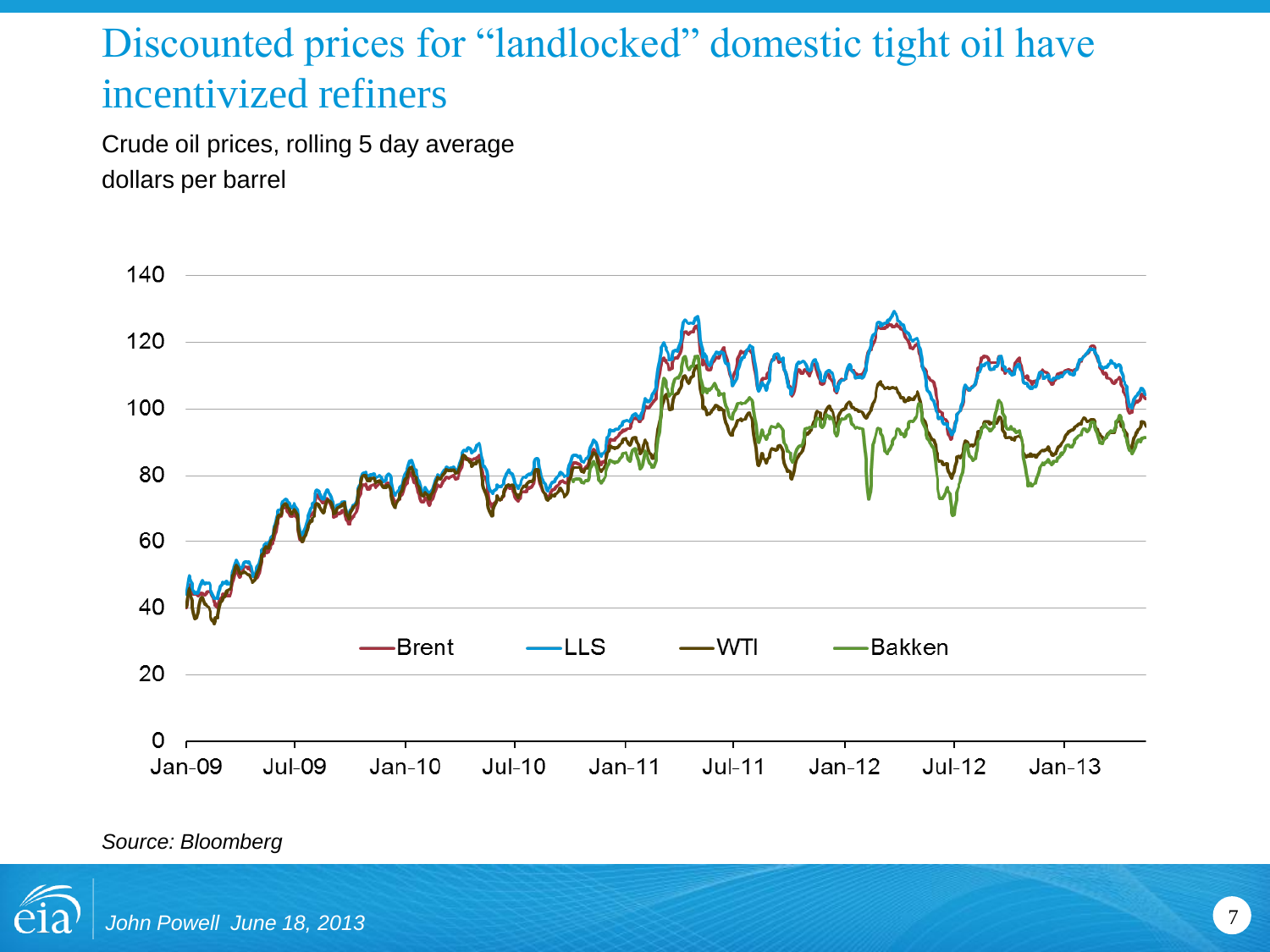## Discounted prices for "landlocked" domestic tight oil have incentivized refiners

Crude oil prices, rolling 5 day average dollars per barrel



*Source: Bloomberg*

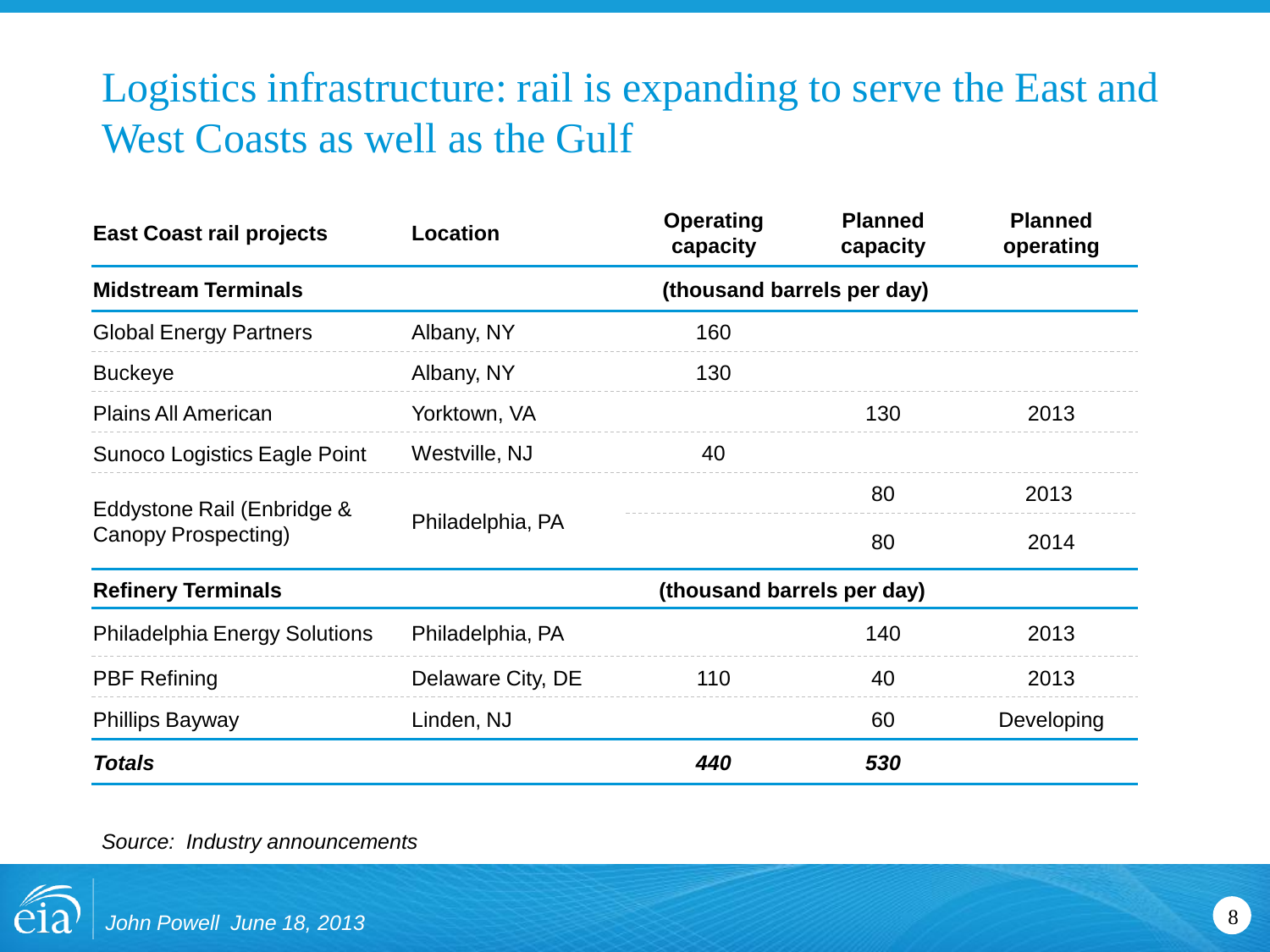# Logistics infrastructure: rail is expanding to serve the East and West Coasts as well as the Gulf

| <b>East Coast rail projects</b>                   | Location                   | <b>Operating</b><br>capacity | <b>Planned</b><br>capacity | <b>Planned</b><br>operating |  |
|---------------------------------------------------|----------------------------|------------------------------|----------------------------|-----------------------------|--|
| <b>Midstream Terminals</b>                        | (thousand barrels per day) |                              |                            |                             |  |
| <b>Global Energy Partners</b>                     | Albany, NY                 | 160                          |                            |                             |  |
| <b>Buckeye</b>                                    | Albany, NY                 | 130                          |                            |                             |  |
| <b>Plains All American</b>                        | Yorktown, VA               |                              | 130                        | 2013                        |  |
| <b>Sunoco Logistics Eagle Point</b>               | Westville, NJ              | 40                           |                            |                             |  |
| Eddystone Rail (Enbridge &<br>Canopy Prospecting) | Philadelphia, PA           |                              | 80                         | 2013                        |  |
|                                                   |                            | 80                           | 2014                       |                             |  |
| <b>Refinery Terminals</b>                         | (thousand barrels per day) |                              |                            |                             |  |
| <b>Philadelphia Energy Solutions</b>              | Philadelphia, PA           |                              | 140                        | 2013                        |  |
| <b>PBF Refining</b>                               | Delaware City, DE          | 110                          | 40                         | 2013                        |  |
| <b>Phillips Bayway</b>                            | Linden, NJ                 |                              | 60                         | Developing                  |  |
| <b>Totals</b>                                     |                            | 440                          | 530                        |                             |  |

*Source: Industry announcements*

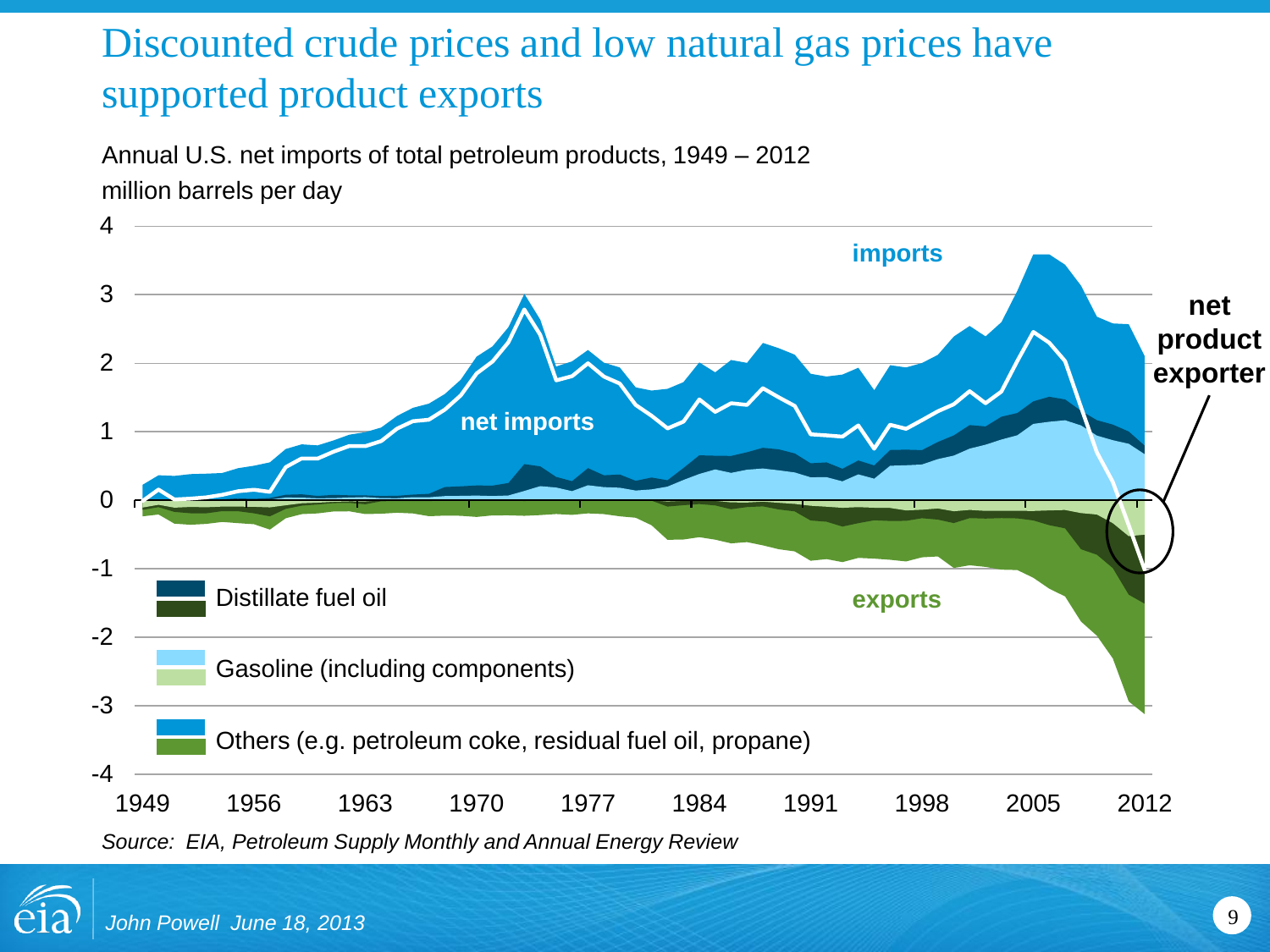# Discounted crude prices and low natural gas prices have supported product exports

Annual U.S. net imports of total petroleum products, 1949 – 2012 million barrels per day



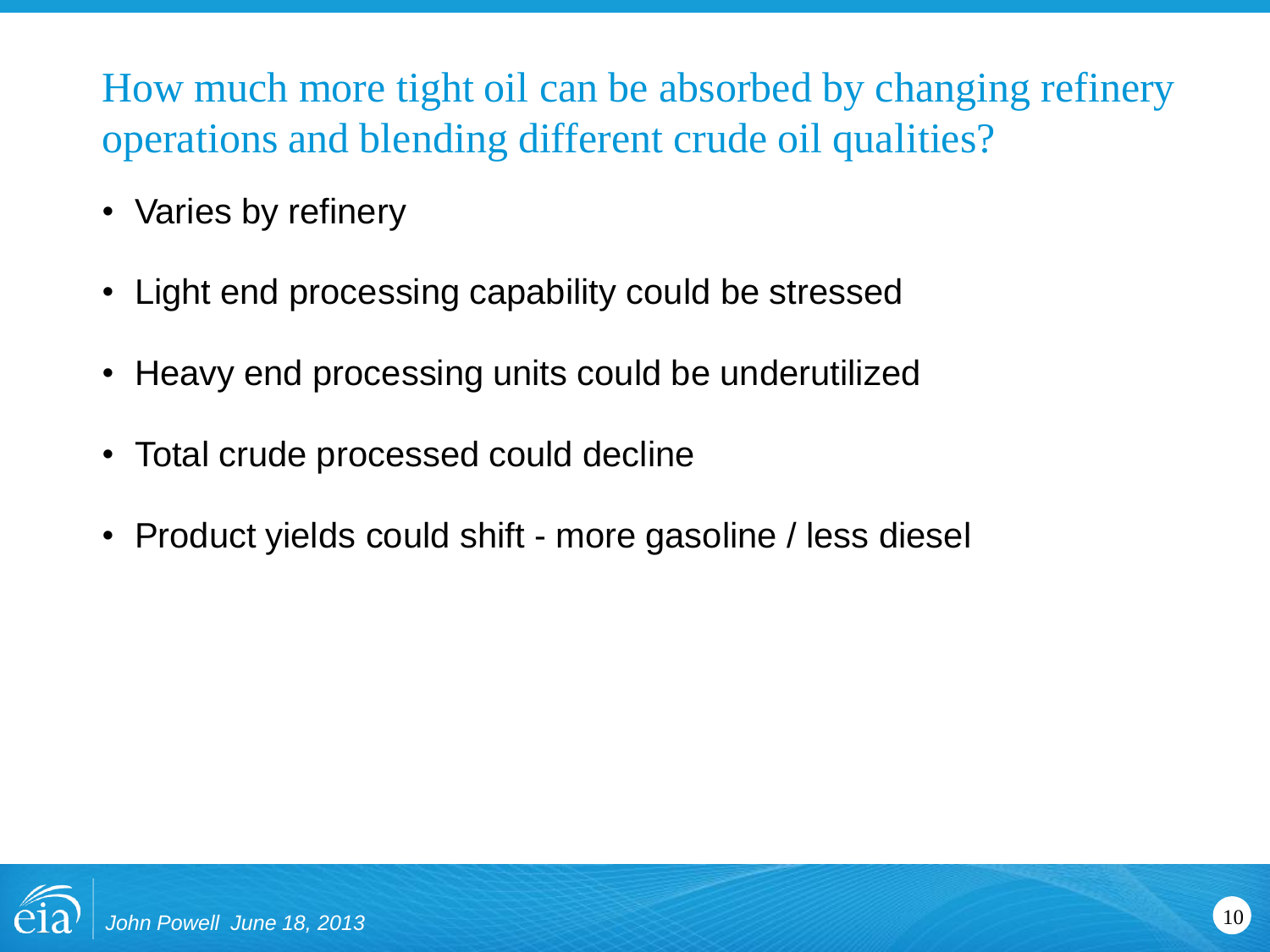How much more tight oil can be absorbed by changing refinery operations and blending different crude oil qualities?

- Varies by refinery
- Light end processing capability could be stressed
- Heavy end processing units could be underutilized
- Total crude processed could decline
- Product yields could shift more gasoline / less diesel

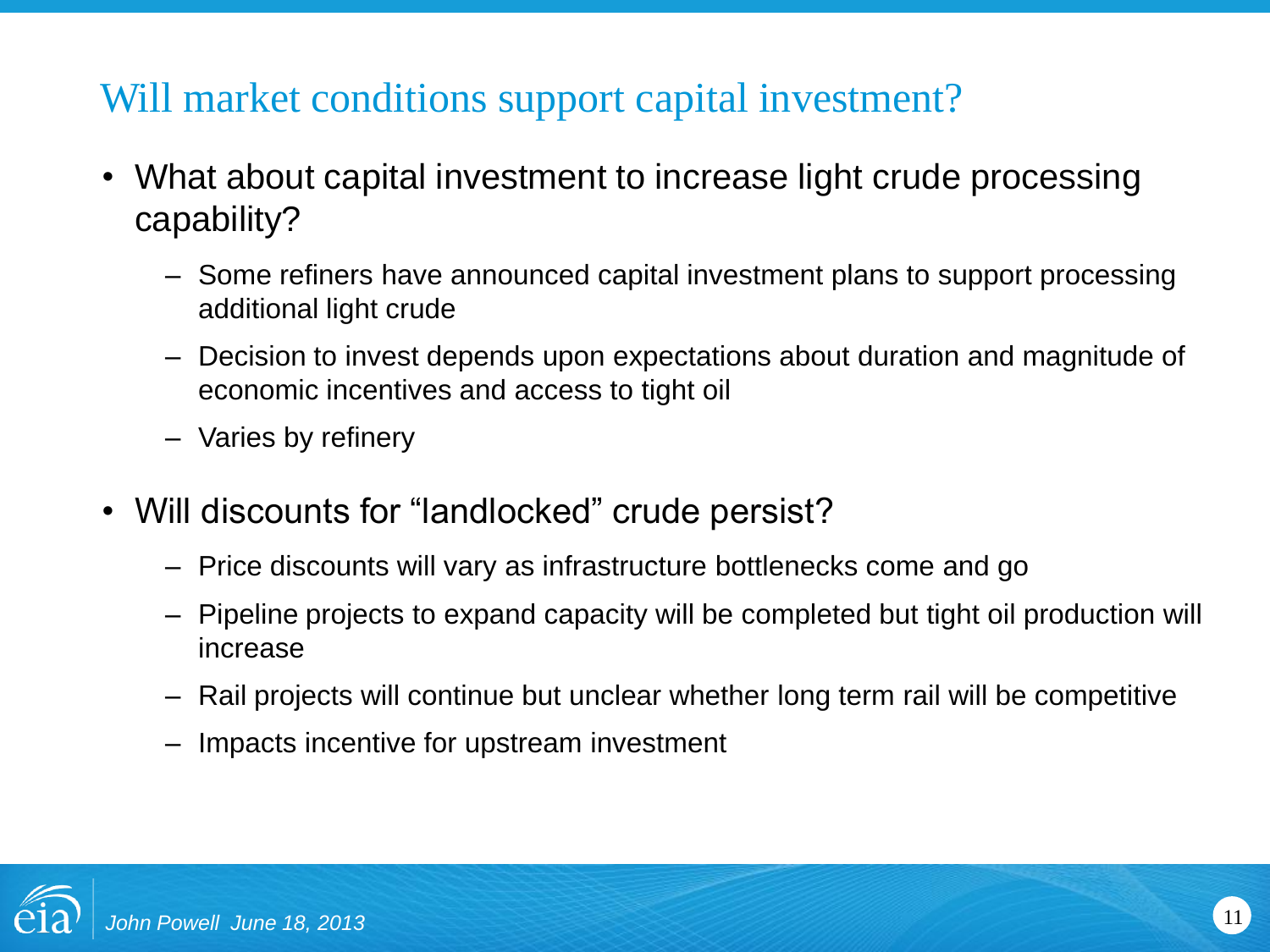# Will market conditions support capital investment?

- What about capital investment to increase light crude processing capability?
	- Some refiners have announced capital investment plans to support processing additional light crude
	- Decision to invest depends upon expectations about duration and magnitude of economic incentives and access to tight oil
	- Varies by refinery
- Will discounts for "landlocked" crude persist?
	- Price discounts will vary as infrastructure bottlenecks come and go
	- Pipeline projects to expand capacity will be completed but tight oil production will increase
	- Rail projects will continue but unclear whether long term rail will be competitive
	- Impacts incentive for upstream investment

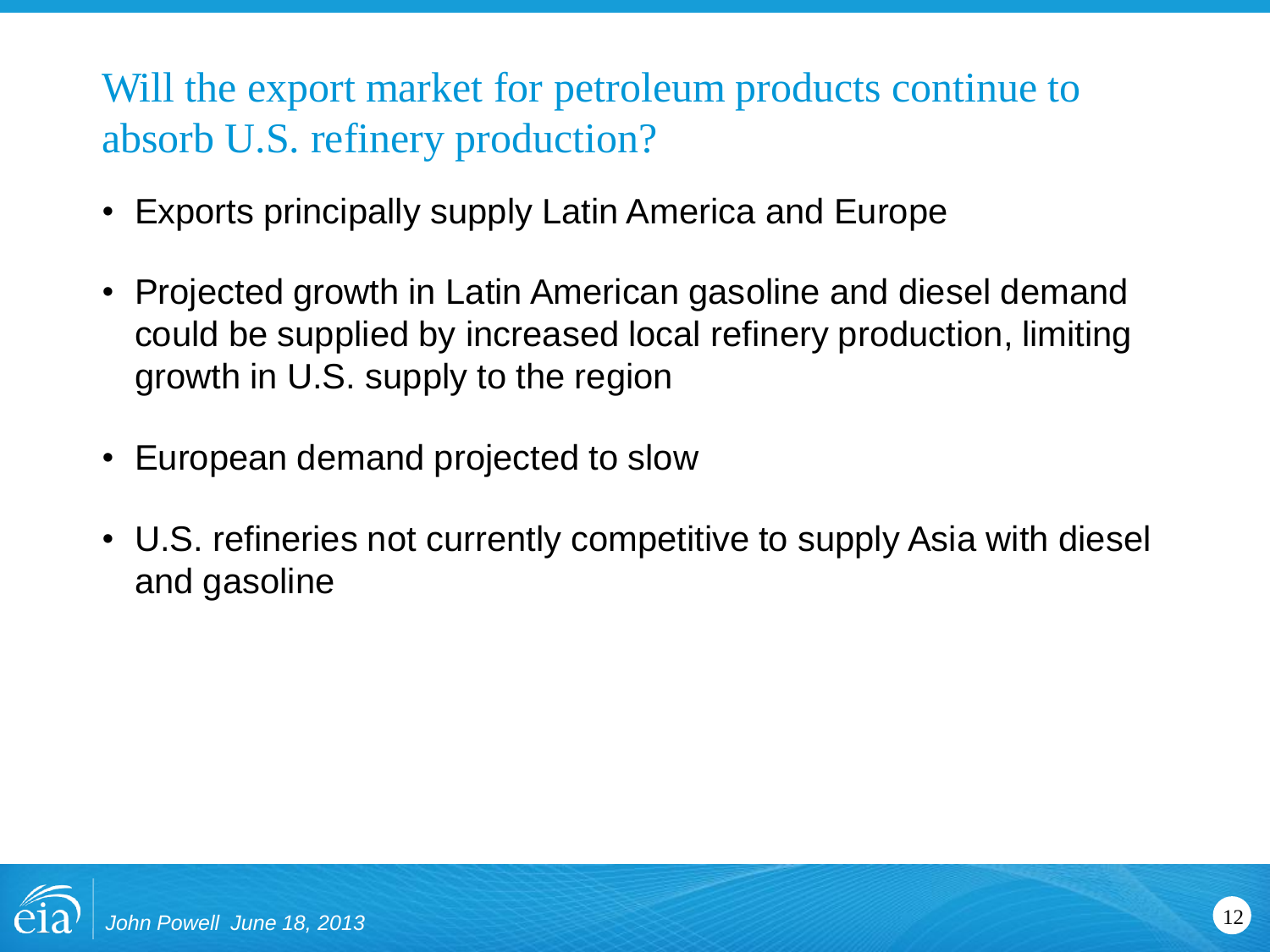Will the export market for petroleum products continue to absorb U.S. refinery production?

- Exports principally supply Latin America and Europe
- Projected growth in Latin American gasoline and diesel demand could be supplied by increased local refinery production, limiting growth in U.S. supply to the region
- European demand projected to slow
- U.S. refineries not currently competitive to supply Asia with diesel and gasoline

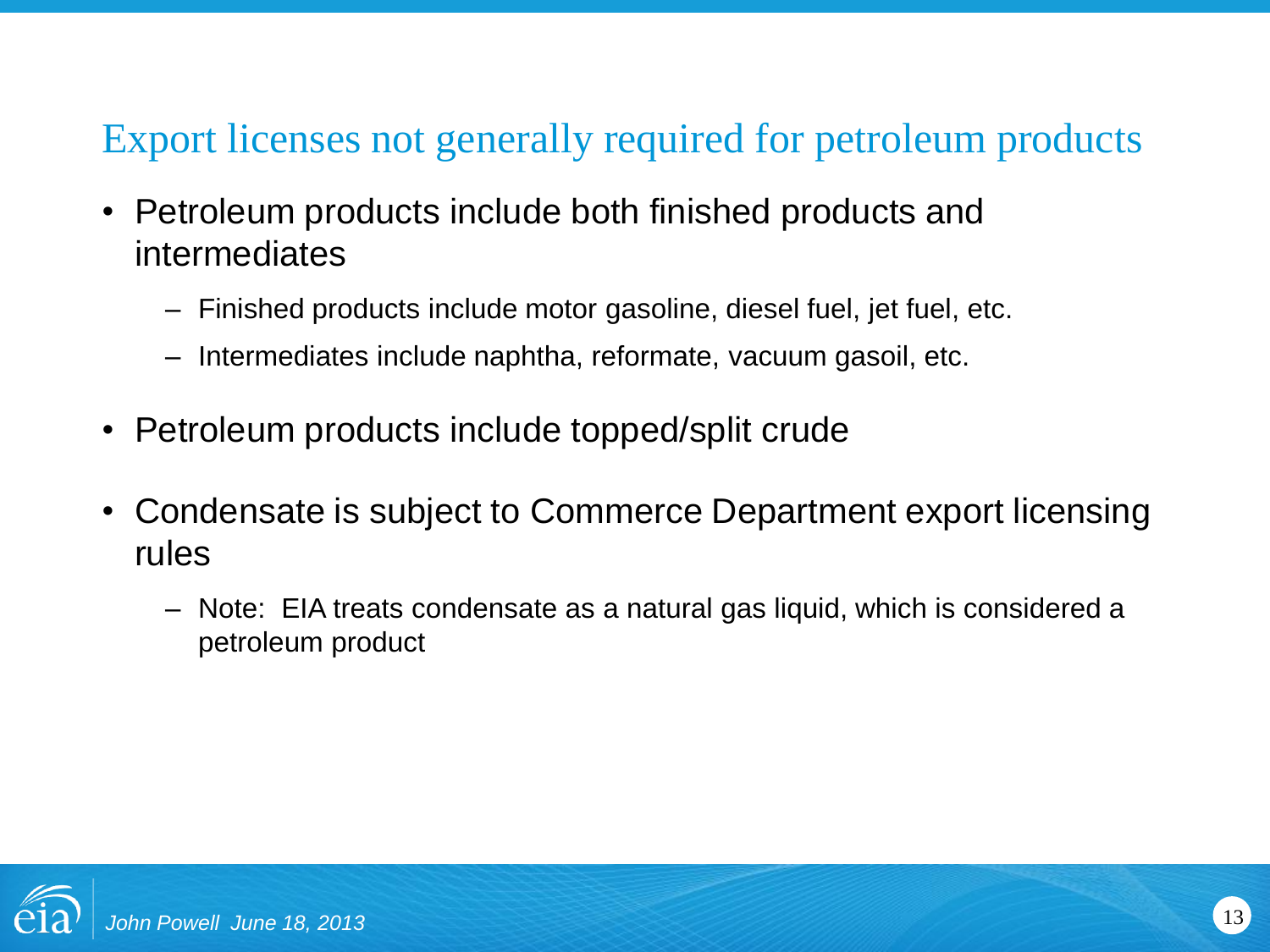# Export licenses not generally required for petroleum products

- Petroleum products include both finished products and intermediates
	- Finished products include motor gasoline, diesel fuel, jet fuel, etc.
	- Intermediates include naphtha, reformate, vacuum gasoil, etc.
- Petroleum products include topped/split crude
- Condensate is subject to Commerce Department export licensing rules
	- Note: EIA treats condensate as a natural gas liquid, which is considered a petroleum product

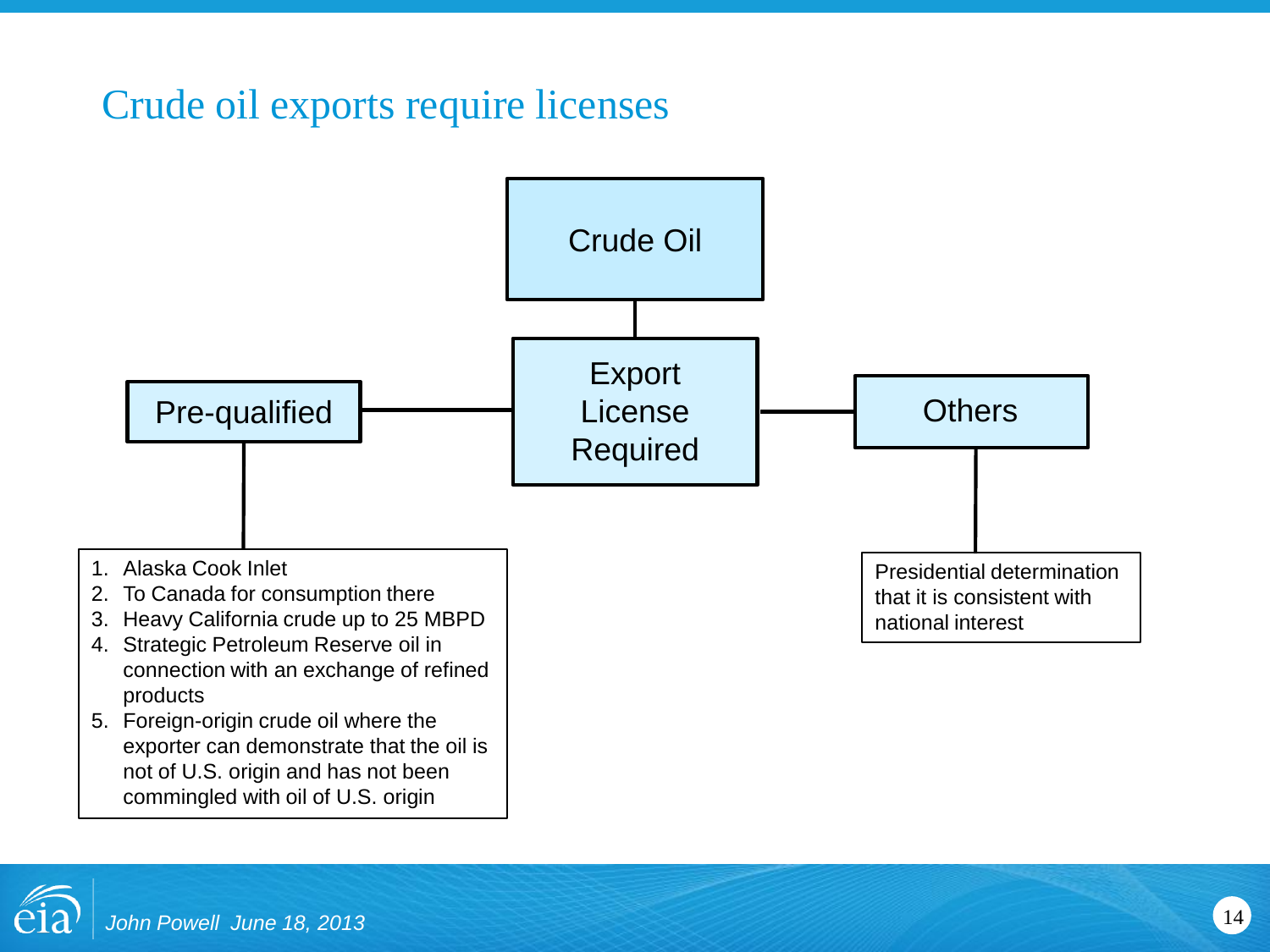### Crude oil exports require licenses



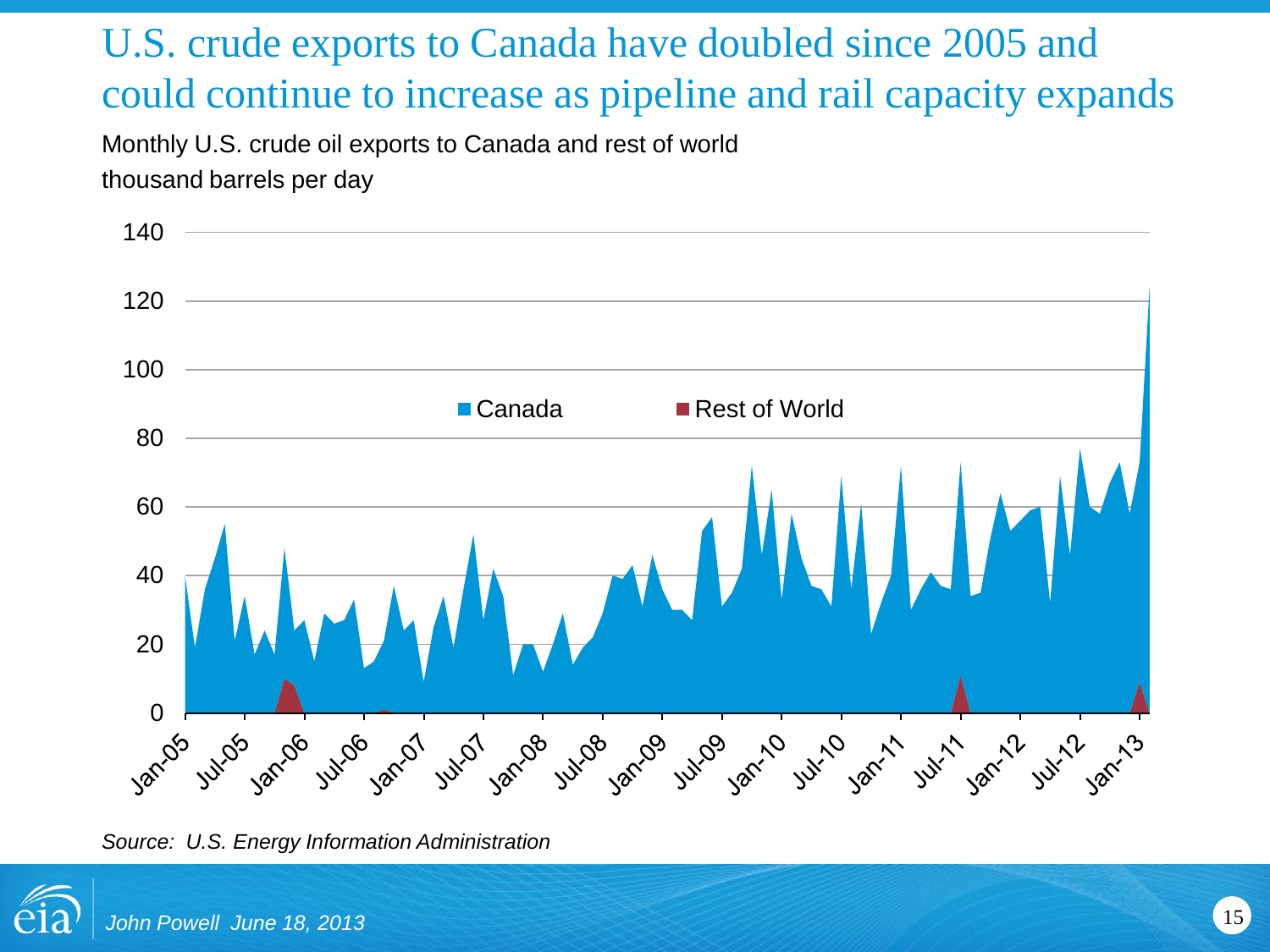# U.S. crude exports to Canada have doubled since 2005 and could continue to increase as pipeline and rail capacity expands

Monthly U.S. crude oil exports to Canada and rest of world thousand barrels per day



*Source: U.S. Energy Information Administration*

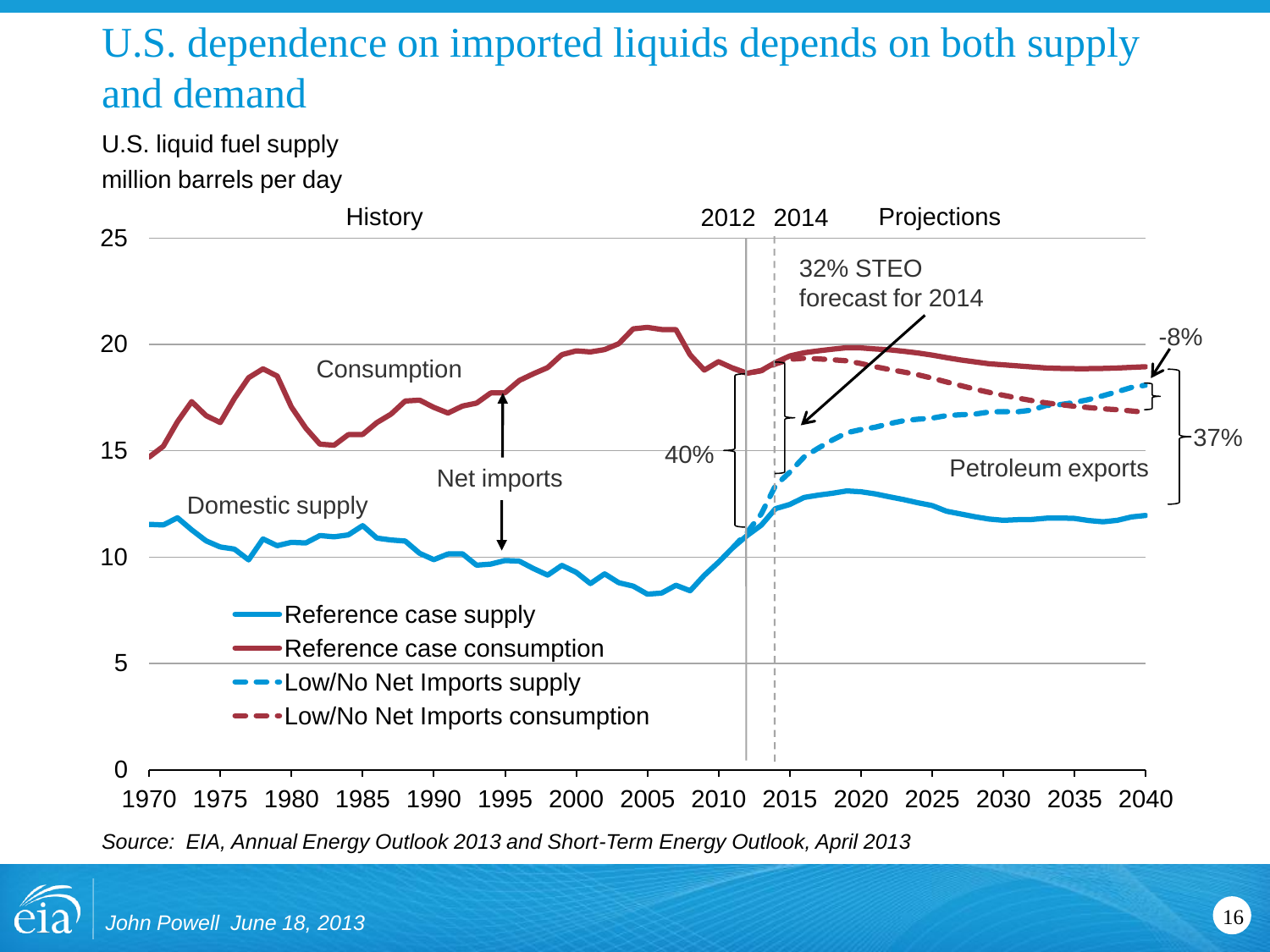# U.S. dependence on imported liquids depends on both supply and demand

U.S. liquid fuel supply million barrels per day



*Source: EIA, Annual Energy Outlook 2013 and Short-Term Energy Outlook, April 2013*